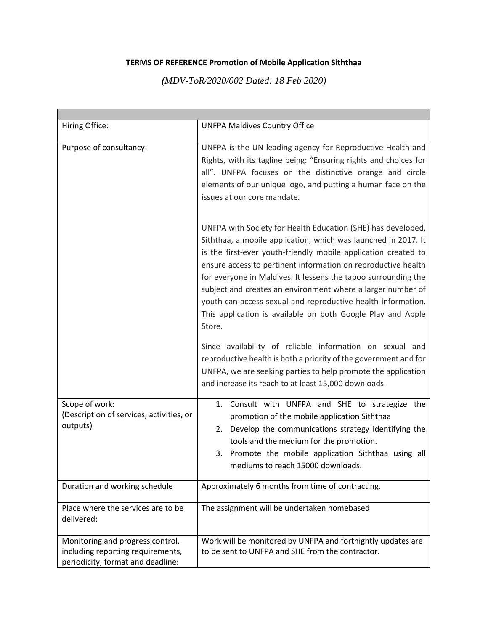## **TERMS OF REFERENCE Promotion of Mobile Application Siththaa**

*(MDV-ToR/2020/002 Dated: 18 Feb 2020)*

| Hiring Office:                                                                                             | <b>UNFPA Maldives Country Office</b>                                                                                                                                                                                                                                                                                                                                                                                                                                                                                                        |
|------------------------------------------------------------------------------------------------------------|---------------------------------------------------------------------------------------------------------------------------------------------------------------------------------------------------------------------------------------------------------------------------------------------------------------------------------------------------------------------------------------------------------------------------------------------------------------------------------------------------------------------------------------------|
| Purpose of consultancy:                                                                                    | UNFPA is the UN leading agency for Reproductive Health and<br>Rights, with its tagline being: "Ensuring rights and choices for<br>all". UNFPA focuses on the distinctive orange and circle<br>elements of our unique logo, and putting a human face on the<br>issues at our core mandate.                                                                                                                                                                                                                                                   |
|                                                                                                            | UNFPA with Society for Health Education (SHE) has developed,<br>Siththaa, a mobile application, which was launched in 2017. It<br>is the first-ever youth-friendly mobile application created to<br>ensure access to pertinent information on reproductive health<br>for everyone in Maldives. It lessens the taboo surrounding the<br>subject and creates an environment where a larger number of<br>youth can access sexual and reproductive health information.<br>This application is available on both Google Play and Apple<br>Store. |
|                                                                                                            | Since availability of reliable information on sexual and<br>reproductive health is both a priority of the government and for<br>UNFPA, we are seeking parties to help promote the application<br>and increase its reach to at least 15,000 downloads.                                                                                                                                                                                                                                                                                       |
| Scope of work:<br>(Description of services, activities, or<br>outputs)                                     | Consult with UNFPA and SHE to strategize the<br>1.<br>promotion of the mobile application Siththaa<br>Develop the communications strategy identifying the<br>2.<br>tools and the medium for the promotion.<br>3. Promote the mobile application Siththaa using all<br>mediums to reach 15000 downloads.                                                                                                                                                                                                                                     |
| Duration and working schedule                                                                              | Approximately 6 months from time of contracting.                                                                                                                                                                                                                                                                                                                                                                                                                                                                                            |
| Place where the services are to be<br>delivered:                                                           | The assignment will be undertaken homebased                                                                                                                                                                                                                                                                                                                                                                                                                                                                                                 |
| Monitoring and progress control,<br>including reporting requirements,<br>periodicity, format and deadline: | Work will be monitored by UNFPA and fortnightly updates are<br>to be sent to UNFPA and SHE from the contractor.                                                                                                                                                                                                                                                                                                                                                                                                                             |